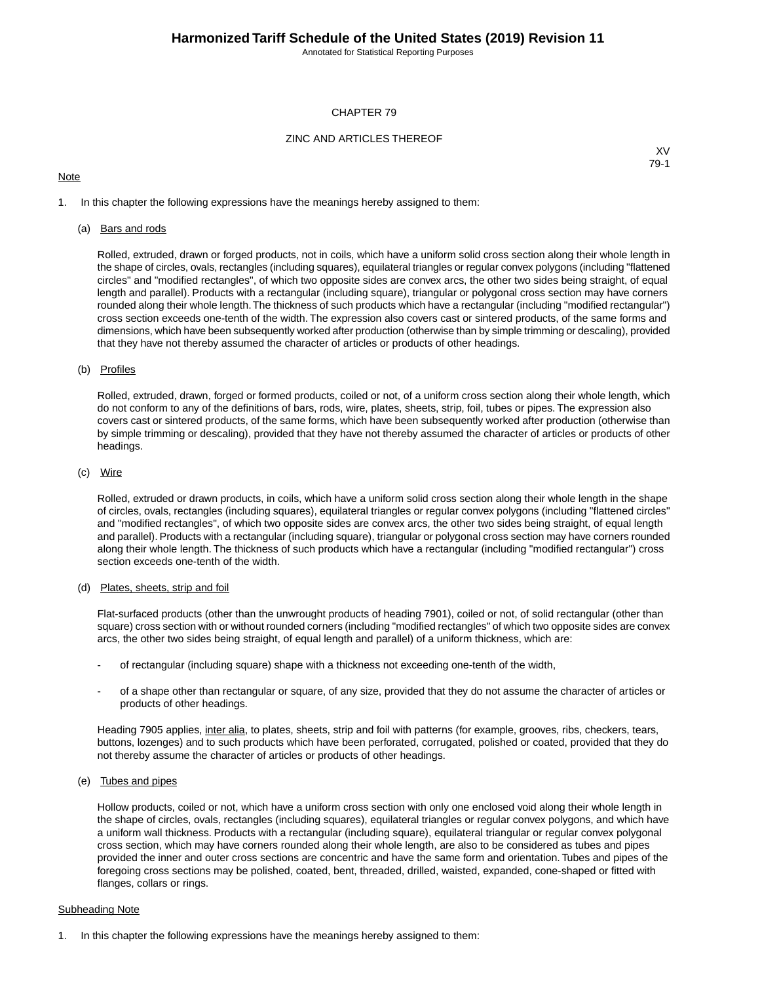Annotated for Statistical Reporting Purposes

### CHAPTER 79

## ZINC AND ARTICLES THEREOF

## **Note**

XV 79-1

1. In this chapter the following expressions have the meanings hereby assigned to them:

#### (a) Bars and rods

Rolled, extruded, drawn or forged products, not in coils, which have a uniform solid cross section along their whole length in the shape of circles, ovals, rectangles (including squares), equilateral triangles or regular convex polygons (including "flattened circles" and "modified rectangles", of which two opposite sides are convex arcs, the other two sides being straight, of equal length and parallel). Products with a rectangular (including square), triangular or polygonal cross section may have corners rounded along their whole length.The thickness of such products which have a rectangular (including "modified rectangular") cross section exceeds one-tenth of the width. The expression also covers cast or sintered products, of the same forms and dimensions, which have been subsequently worked after production (otherwise than by simple trimming or descaling), provided that they have not thereby assumed the character of articles or products of other headings.

#### (b) Profiles

Rolled, extruded, drawn, forged or formed products, coiled or not, of a uniform cross section along their whole length, which do not conform to any of the definitions of bars, rods, wire, plates, sheets, strip, foil, tubes or pipes. The expression also covers cast or sintered products, of the same forms, which have been subsequently worked after production (otherwise than by simple trimming or descaling), provided that they have not thereby assumed the character of articles or products of other headings.

#### (c) Wire

Rolled, extruded or drawn products, in coils, which have a uniform solid cross section along their whole length in the shape of circles, ovals, rectangles (including squares), equilateral triangles or regular convex polygons (including "flattened circles" and "modified rectangles", of which two opposite sides are convex arcs, the other two sides being straight, of equal length and parallel). Products with a rectangular (including square), triangular or polygonal cross section may have corners rounded along their whole length. The thickness of such products which have a rectangular (including "modified rectangular") cross section exceeds one-tenth of the width.

#### (d) Plates, sheets, strip and foil

Flat-surfaced products (other than the unwrought products of heading 7901), coiled or not, of solid rectangular (other than square) cross section with or without rounded corners (including "modified rectangles" of which two opposite sides are convex arcs, the other two sides being straight, of equal length and parallel) of a uniform thickness, which are:

- of rectangular (including square) shape with a thickness not exceeding one-tenth of the width,
- of a shape other than rectangular or square, of any size, provided that they do not assume the character of articles or products of other headings.

Heading 7905 applies, inter alia, to plates, sheets, strip and foil with patterns (for example, grooves, ribs, checkers, tears, buttons, lozenges) and to such products which have been perforated, corrugated, polished or coated, provided that they do not thereby assume the character of articles or products of other headings.

(e) Tubes and pipes

Hollow products, coiled or not, which have a uniform cross section with only one enclosed void along their whole length in the shape of circles, ovals, rectangles (including squares), equilateral triangles or regular convex polygons, and which have a uniform wall thickness. Products with a rectangular (including square), equilateral triangular or regular convex polygonal cross section, which may have corners rounded along their whole length, are also to be considered as tubes and pipes provided the inner and outer cross sections are concentric and have the same form and orientation. Tubes and pipes of the foregoing cross sections may be polished, coated, bent, threaded, drilled, waisted, expanded, cone-shaped or fitted with flanges, collars or rings.

#### Subheading Note

1. In this chapter the following expressions have the meanings hereby assigned to them: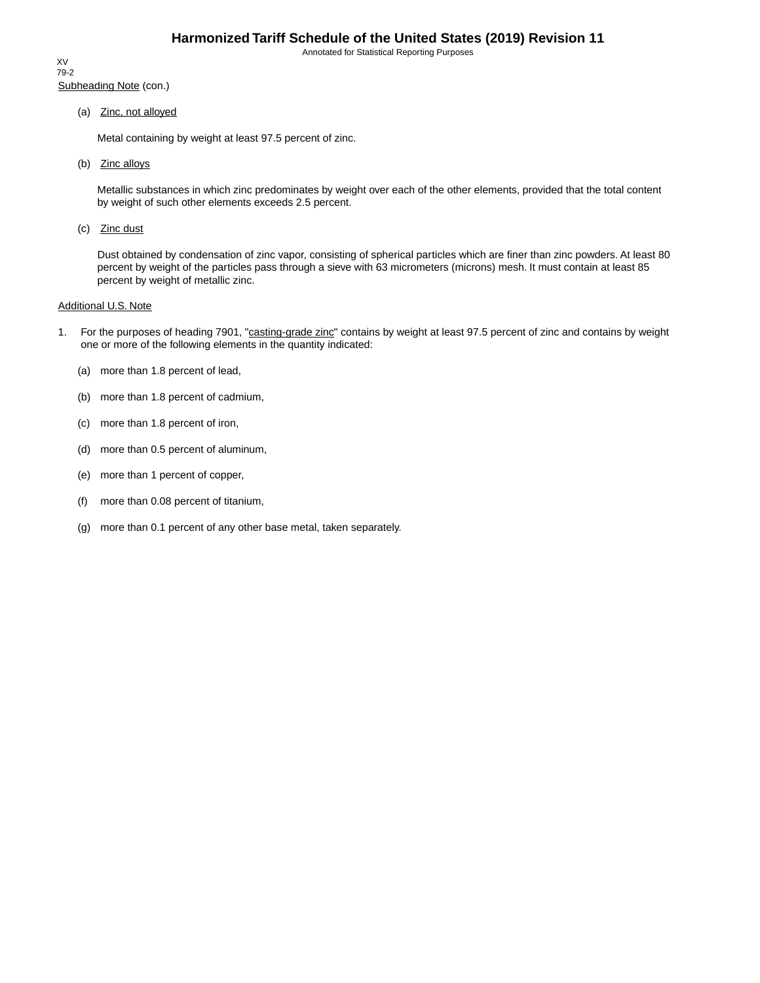Annotated for Statistical Reporting Purposes

Subheading Note (con.) XV 79-2

(a) Zinc, not alloyed

Metal containing by weight at least 97.5 percent of zinc.

(b) Zinc alloys

Metallic substances in which zinc predominates by weight over each of the other elements, provided that the total content by weight of such other elements exceeds 2.5 percent.

(c) Zinc dust

Dust obtained by condensation of zinc vapor, consisting of spherical particles which are finer than zinc powders. At least 80 percent by weight of the particles pass through a sieve with 63 micrometers (microns) mesh. It must contain at least 85 percent by weight of metallic zinc.

### Additional U.S. Note

- 1. For the purposes of heading 7901, "casting-grade zinc" contains by weight at least 97.5 percent of zinc and contains by weight one or more of the following elements in the quantity indicated:
	- (a) more than 1.8 percent of lead,
	- (b) more than 1.8 percent of cadmium,
	- (c) more than 1.8 percent of iron,
	- (d) more than 0.5 percent of aluminum,
	- (e) more than 1 percent of copper,
	- (f) more than 0.08 percent of titanium,
	- (g) more than 0.1 percent of any other base metal, taken separately.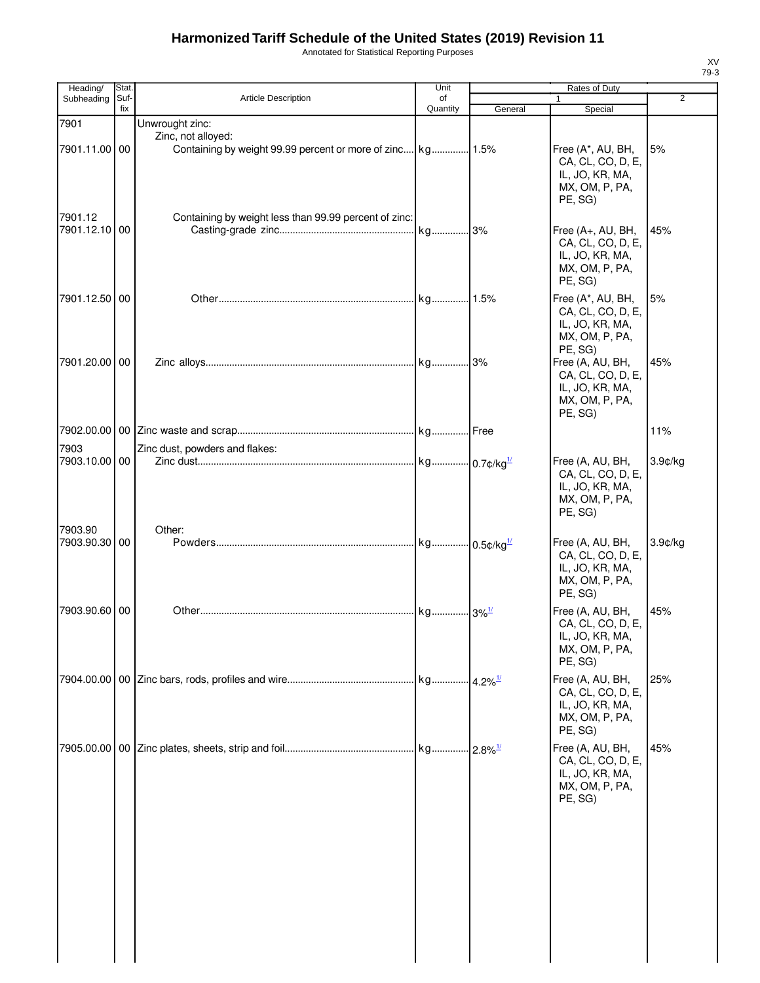# **Harmonized Tariff Schedule of the United States (2019) Revision 11**

Annotated for Statistical Reporting Purposes

| Stat.         |                                       | Unit                |                                                                         | <b>Rates of Duty</b>                                                                  |                                                                     |
|---------------|---------------------------------------|---------------------|-------------------------------------------------------------------------|---------------------------------------------------------------------------------------|---------------------------------------------------------------------|
| fix           |                                       |                     |                                                                         |                                                                                       | $\overline{2}$                                                      |
| 7901.11.00 00 | Unwrought zinc:<br>Zinc, not alloyed: |                     |                                                                         | Free (A*, AU, BH,<br>CA, CL, CO, D, E,<br>IL, JO, KR, MA,<br>MX, OM, P, PA,           | 5%                                                                  |
| 7901.12.10 00 |                                       |                     |                                                                         | Free (A+, AU, BH,<br>CA, CL, CO, D, E,<br>IL, JO, KR, MA,<br>MX, OM, P, PA,           | 45%                                                                 |
| 7901.12.50 00 |                                       |                     |                                                                         | Free (A*, AU, BH,<br>CA, CL, CO, D, E,<br>IL, JO, KR, MA,<br>MX, OM, P, PA,           | 5%                                                                  |
| 7901.20.00 00 |                                       |                     |                                                                         | Free (A, AU, BH,<br>CA, CL, CO, D, E,<br>IL, JO, KR, MA,<br>MX, OM, P, PA,<br>PE, SG) | 45%                                                                 |
|               |                                       |                     |                                                                         |                                                                                       | 11%                                                                 |
| 7903.10.00 00 | Zinc dust, powders and flakes:        |                     |                                                                         | Free (A, AU, BH,<br>CA, CL, CO, D, E,<br>IL, JO, KR, MA,<br>MX, OM, P, PA,<br>PE, SG) | $3.9$ ¢/kg                                                          |
| 7903.90.30 00 | Other:                                |                     |                                                                         | Free (A, AU, BH,<br>CA, CL, CO, D, E,<br>IL, JO, KR, MA,<br>MX, OM, P, PA,            | $3.9$ ¢/kg                                                          |
| 7903.90.60 00 |                                       |                     |                                                                         | Free (A, AU, BH,<br>CA, CL, CO, D, E,<br>IL, JO, KR, MA,<br>MX, OM, P, PA,<br>PE, SG) | 45%                                                                 |
|               |                                       |                     |                                                                         | Free (A, AU, BH,<br>CA, CL, CO, D, E,<br>IL, JO, KR, MA,<br>MX, OM, P, PA,<br>PE, SG) | 25%                                                                 |
|               |                                       |                     |                                                                         | Free (A, AU, BH,<br>CA, CL, CO, D, E,<br>IL, JO, KR, MA,<br>MX, OM, P, PA,<br>PE, SG) | 45%                                                                 |
|               | Suf-                                  | Article Description | of<br>Quantity<br>Containing by weight less than 99.99 percent of zinc: | General<br>kg 3% <sup>1/</sup>                                                        | $\mathbf{1}$<br>Special<br>PE, SG)<br>PE, SG)<br>PE, SG)<br>PE, SG) |

XV 79-3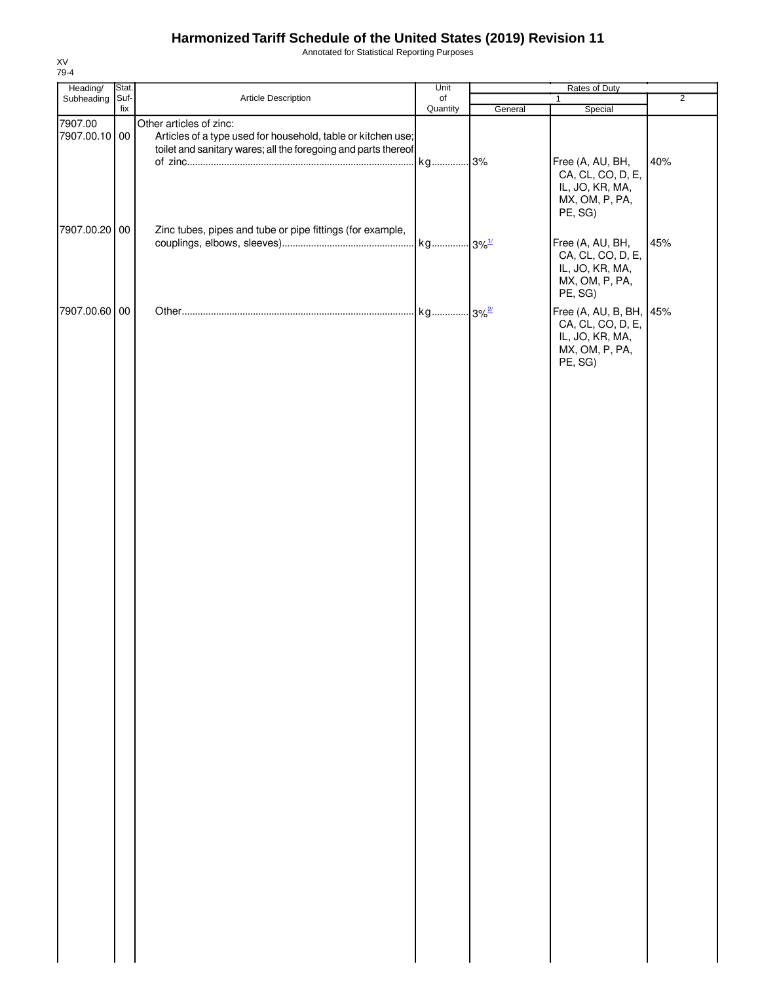## **Harmonized Tariff Schedule of the United States (2019) Revision 11**

Annotated for Statistical Reporting Purposes

| Heading/                 |  | Stat. |                                                                                         | Unit     | Rates of Duty |                                                                                              |                |
|--------------------------|--|-------|-----------------------------------------------------------------------------------------|----------|---------------|----------------------------------------------------------------------------------------------|----------------|
| Subheading               |  | Suf-  | Article Description                                                                     | of       |               | $\mathbf{1}$                                                                                 | $\overline{2}$ |
| 7907.00<br>7907.00.10 00 |  | fix   | Other articles of zinc:<br>Articles of a type used for household, table or kitchen use; | Quantity | General       | Special                                                                                      |                |
|                          |  |       | toilet and sanitary wares; all the foregoing and parts thereof                          | kg 3%    |               | Free (A, AU, BH,<br>CA, CL, CO, D, E,<br>IL, JO, KR, MA,<br>MX, OM, P, PA,<br>PE, SG)        | 40%            |
| 7907.00.20 00            |  |       | Zinc tubes, pipes and tube or pipe fittings (for example,                               |          |               | Free (A, AU, BH,<br>CA, CL, CO, D, E,<br>IL, JO, KR, MA,<br>MX, OM, P, PA,<br>PE, SG)        | 45%            |
| 7907.00.60 00            |  |       |                                                                                         |          |               | Free (A, AU, B, BH, 45%<br>CA, CL, CO, D, E,<br>IL, JO, KR, MA,<br>MX, OM, P, PA,<br>PE, SG) |                |
|                          |  |       |                                                                                         |          |               |                                                                                              |                |
|                          |  |       |                                                                                         |          |               |                                                                                              |                |
|                          |  |       |                                                                                         |          |               |                                                                                              |                |

XV 79-4